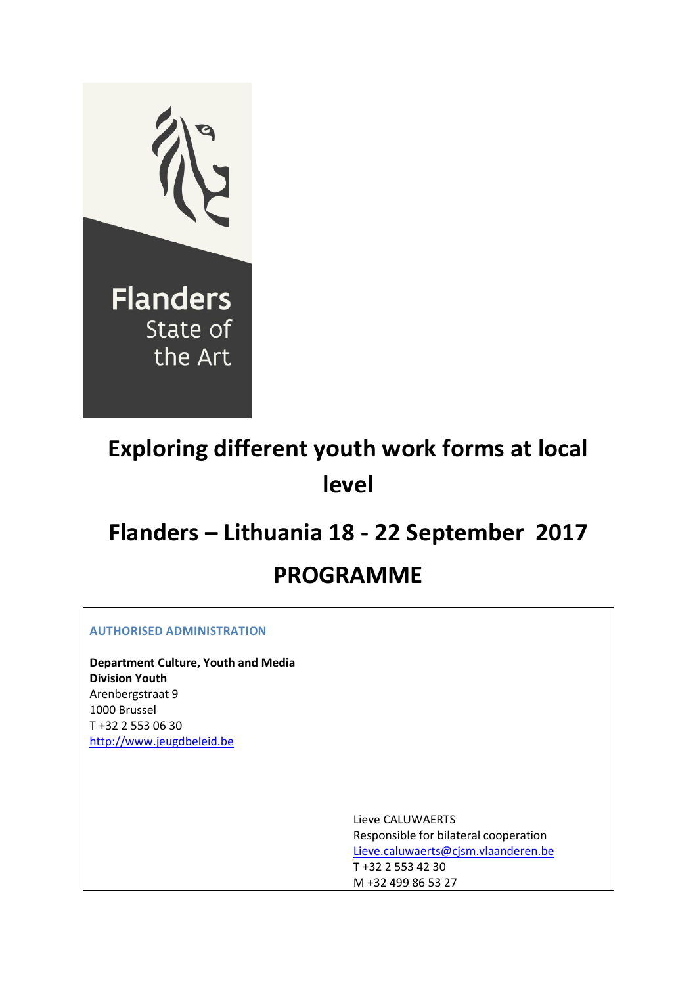

# **Exploring different youth work forms at local level**

# **Flanders – Lithuania 18 - 22 September 2017**

# **PROGRAMME**

**AUTHORISED ADMINISTRATION**

**Department Culture, Youth and Media Division Youth** Arenbergstraat 9 1000 Brussel T +32 2 553 06 30 [http://www.jeugdbeleid.be](http://www.jeugdbeleid.be/)

> Lieve CALUWAERTS Responsible for bilateral cooperation [Lieve.caluwaerts@cjsm.vlaanderen.be](mailto:Lieve.caluwaerts@cjsm.vlaanderen.be) T +32 2 553 42 30 M +32 499 86 53 27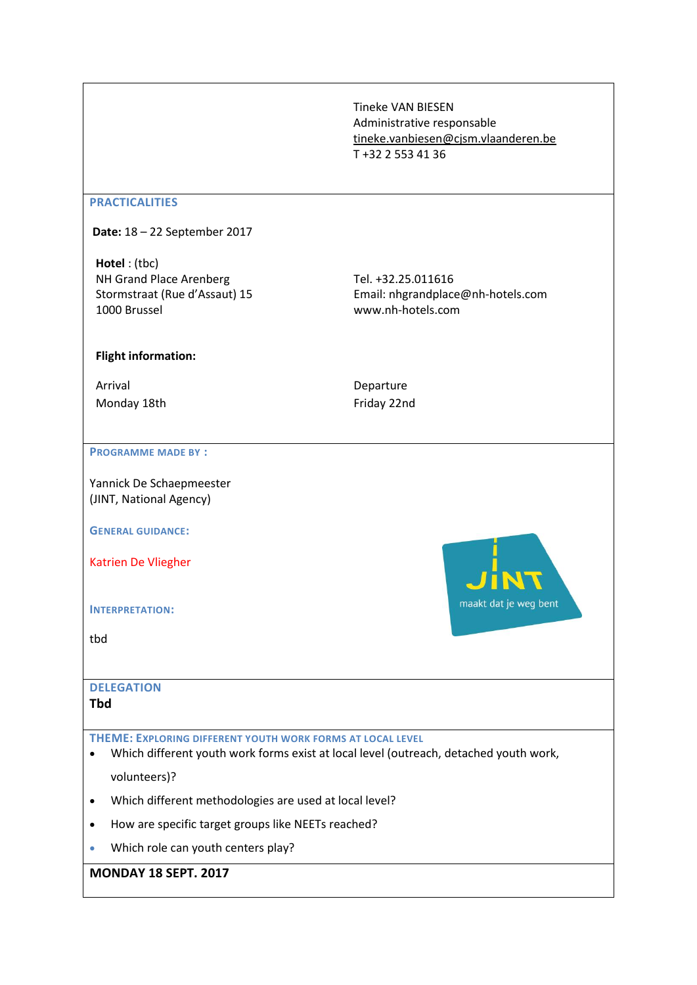Tineke VAN BIESEN Administrative responsable [tineke.vanbiesen@cjsm.vlaanderen.be](mailto:tineke.vanbiesen@cjsm.vlaanderen.be) T +32 2 553 41 36

#### **PRACTICALITIES**

**Date:** 18 – 22 September 2017

**Hotel** : (tbc) NH Grand Place Arenberg Stormstraat (Rue d'Assaut) 15 1000 Brussel

Tel. +32.25.011616 Email: [nhgrandplace@nh-hotels.com](mailto:nhgrandplace@nh-hotels.com) [www.nh-hotels.com](http://www.nh-hotels.com/)

maakt dat je weg bent

### **Flight information:**

Arrival Monday 18th

# Departure Friday 22nd

#### **PROGRAMME MADE BY :**

Yannick De Schaepmeester (JINT, National Agency)

**GENERAL GUIDANCE:**

Katrien De Vliegher

**INTERPRETATION:**

tbd

# **DELEGATION**

# **Tbd**

- **THEME: EXPLORING DIFFERENT YOUTH WORK FORMS AT LOCAL LEVEL**
- Which different youth work forms exist at local level (outreach, detached youth work,
	- volunteers)?
- Which different methodologies are used at local level?
- How are specific target groups like NEETs reached?
- Which role can youth centers play?

## **MONDAY 18 SEPT. 2017**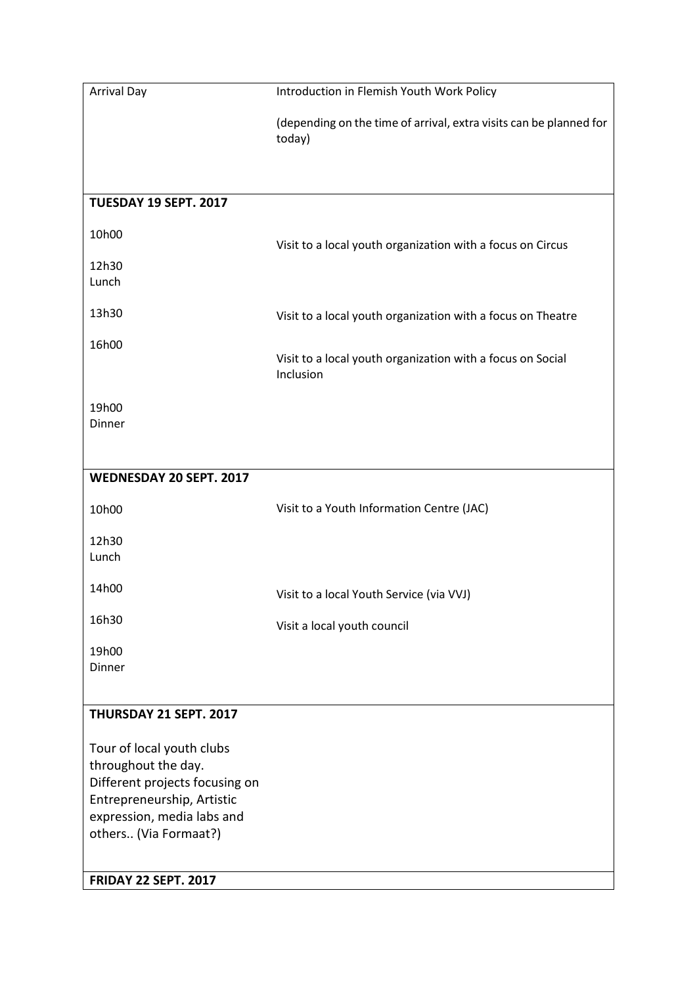| <b>Arrival Day</b>                                                                                                                                                      | Introduction in Flemish Youth Work Policy                                    |
|-------------------------------------------------------------------------------------------------------------------------------------------------------------------------|------------------------------------------------------------------------------|
|                                                                                                                                                                         | (depending on the time of arrival, extra visits can be planned for<br>today) |
|                                                                                                                                                                         |                                                                              |
| TUESDAY 19 SEPT. 2017                                                                                                                                                   |                                                                              |
| 10h00                                                                                                                                                                   | Visit to a local youth organization with a focus on Circus                   |
| 12h30<br>Lunch                                                                                                                                                          |                                                                              |
| 13h30                                                                                                                                                                   | Visit to a local youth organization with a focus on Theatre                  |
| 16h00                                                                                                                                                                   | Visit to a local youth organization with a focus on Social<br>Inclusion      |
| 19h00<br>Dinner                                                                                                                                                         |                                                                              |
| WEDNESDAY 20 SEPT. 2017                                                                                                                                                 |                                                                              |
| 10h00                                                                                                                                                                   | Visit to a Youth Information Centre (JAC)                                    |
| 12h30<br>Lunch                                                                                                                                                          |                                                                              |
| 14h00                                                                                                                                                                   | Visit to a local Youth Service (via VVJ)                                     |
| 16h30                                                                                                                                                                   | Visit a local youth council                                                  |
| 19h00<br>Dinner                                                                                                                                                         |                                                                              |
| THURSDAY 21 SEPT. 2017                                                                                                                                                  |                                                                              |
| Tour of local youth clubs<br>throughout the day.<br>Different projects focusing on<br>Entrepreneurship, Artistic<br>expression, media labs and<br>others (Via Formaat?) |                                                                              |
| <b>FRIDAY 22 SEPT. 2017</b>                                                                                                                                             |                                                                              |